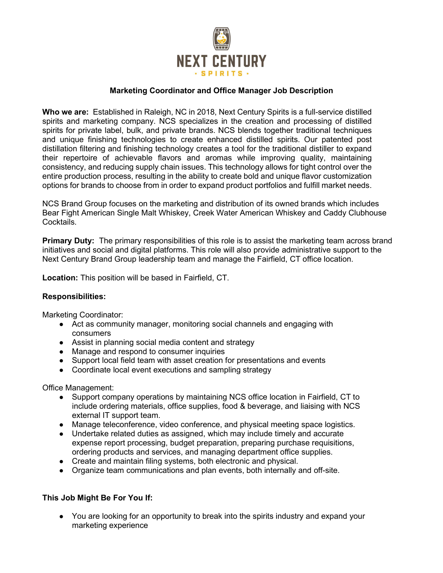

## Marketing Coordinator and Office Manager Job Description

Who we are: Established in Raleigh, NC in 2018, Next Century Spirits is a full-service distilled spirits and marketing company. NCS specializes in the creation and processing of distilled spirits for private label, bulk, and private brands. NCS blends together traditional techniques and unique finishing technologies to create enhanced distilled spirits. Our patented post distillation filtering and finishing technology creates a tool for the traditional distiller to expand their repertoire of achievable flavors and aromas while improving quality, maintaining consistency, and reducing supply chain issues. This technology allows for tight control over the entire production process, resulting in the ability to create bold and unique flavor customization options for brands to choose from in order to expand product portfolios and fulfill market needs.

NCS Brand Group focuses on the marketing and distribution of its owned brands which includes Bear Fight American Single Malt Whiskey, Creek Water American Whiskey and Caddy Clubhouse Cocktails.

**Primary Duty:** The primary responsibilities of this role is to assist the marketing team across brand initiatives and social and digital platforms. This role will also provide administrative support to the Next Century Brand Group leadership team and manage the Fairfield, CT office location.

Location: This position will be based in Fairfield, CT.

### Responsibilities:

Marketing Coordinator:

- Act as community manager, monitoring social channels and engaging with consumers
- Assist in planning social media content and strategy
- Manage and respond to consumer inquiries
- Support local field team with asset creation for presentations and events
- Coordinate local event executions and sampling strategy

Office Management:

- Support company operations by maintaining NCS office location in Fairfield, CT to include ordering materials, office supplies, food & beverage, and liaising with NCS external IT support team.
- Manage teleconference, video conference, and physical meeting space logistics.
- Undertake related duties as assigned, which may include timely and accurate expense report processing, budget preparation, preparing purchase requisitions, ordering products and services, and managing department office supplies.
- Create and maintain filing systems, both electronic and physical.
- Organize team communications and plan events, both internally and off-site.

# This Job Might Be For You If:

• You are looking for an opportunity to break into the spirits industry and expand your marketing experience